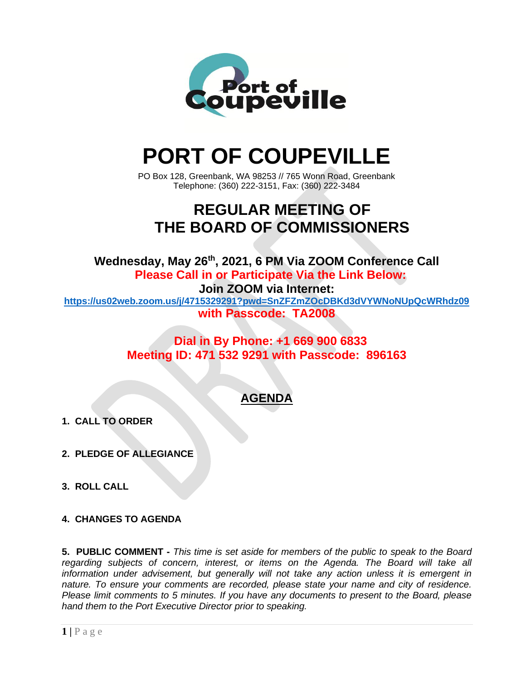

# **PORT OF COUPEVILLE**

PO Box 128, Greenbank, WA 98253 // 765 Wonn Road, Greenbank Telephone: (360) 222-3151, Fax: (360) 222-3484

## **REGULAR MEETING OF THE BOARD OF COMMISSIONERS**

**Wednesday, May 26 th , 2021, 6 PM Via ZOOM Conference Call Please Call in or Participate Via the Link Below: Join ZOOM via Internet: <https://us02web.zoom.us/j/4715329291?pwd=SnZFZmZOcDBKd3dVYWNoNUpQcWRhdz09> with Passcode: TA2008**

> **Dial in By Phone: +1 669 900 6833 Meeting ID: 471 532 9291 with Passcode: 896163**

### **AGENDA**

- **1. CALL TO ORDER**
- **2. PLEDGE OF ALLEGIANCE**
- **3. ROLL CALL**
- **4. CHANGES TO AGENDA**

**5. PUBLIC COMMENT -** *This time is set aside for members of the public to speak to the Board regarding subjects of concern, interest, or items on the Agenda. The Board will take all information under advisement, but generally will not take any action unless it is emergent in nature. To ensure your comments are recorded, please state your name and city of residence. Please limit comments to 5 minutes. If you have any documents to present to the Board, please hand them to the Port Executive Director prior to speaking.*